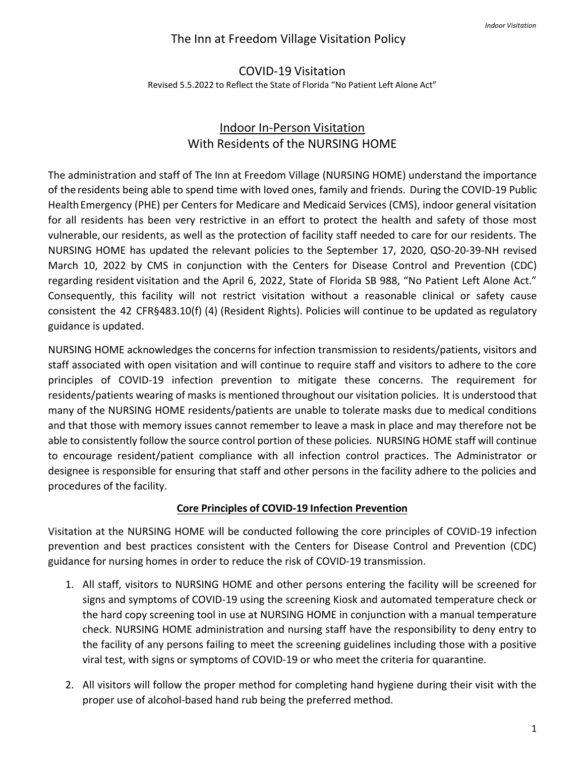# The Inn at Freedom Village Visitation Policy

# COVID-19 Visitation Revised 5.5.2022 to Reflect the State of Florida "No Patient Left Alone Act"

# Indoor In-Person Visitation With Residents of the NURSING HOME

The administration and staff of The Inn at Freedom Village (NURSING HOME) understand the importance of the residents being able to spend time with loved ones, family and friends. During the COVID-19 Public HealthEmergency (PHE) per Centers for Medicare and Medicaid Services (CMS), indoor general visitation for all residents has been very restrictive in an effort to protect the health and safety of those most vulnerable, our residents, as well as the protection of facility staff needed to care for our residents. The NURSING HOME has updated the relevant policies to the September 17, 2020, QSO-20-39-NH revised March 10, 2022 by CMS in conjunction with the Centers for Disease Control and Prevention (CDC) regarding resident visitation and the April 6, 2022, State of Florida SB 988, "No Patient Left Alone Act." Consequently, this facility will not restrict visitation without a reasonable clinical or safety cause consistent the 42 CFR§483.10(f) (4) (Resident Rights). Policies will continue to be updated as regulatory guidance is updated.

NURSING HOME acknowledges the concerns for infection transmission to residents/patients, visitors and staff associated with open visitation and will continue to require staff and visitors to adhere to the core principles of COVID-19 infection prevention to mitigate these concerns. The requirement for residents/patients wearing of masks is mentioned throughout our visitation policies. It is understood that many of the NURSING HOME residents/patients are unable to tolerate masks due to medical conditions and that those with memory issues cannot remember to leave a mask in place and may therefore not be able to consistently follow the source control portion of these policies. NURSING HOME staff will continue to encourage resident/patient compliance with all infection control practices. The Administrator or designee is responsible for ensuring that staff and other persons in the facility adhere to the policies and procedures of the facility.

## **Core Principles of COVID-19 Infection Prevention**

Visitation at the NURSING HOME will be conducted following the core principles of COVID-19 infection prevention and best practices consistent with the Centers for Disease Control and Prevention (CDC) guidance for nursing homes in order to reduce the risk of COVID-19 transmission.

- 1. All staff, visitors to NURSING HOME and other persons entering the facility will be screened for signs and symptoms of COVID-19 using the screening Kiosk and automated temperature check or the hard copy screening tool in use at NURSING HOME in conjunction with a manual temperature check. NURSING HOME administration and nursing staff have the responsibility to deny entry to the facility of any persons failing to meet the screening guidelines including those with a positive viral test, with signs or symptoms of COVID-19 or who meet the criteria for quarantine.
- 2. All visitors will follow the proper method for completing hand hygiene during their visit with the proper use of alcohol-based hand rub being the preferred method.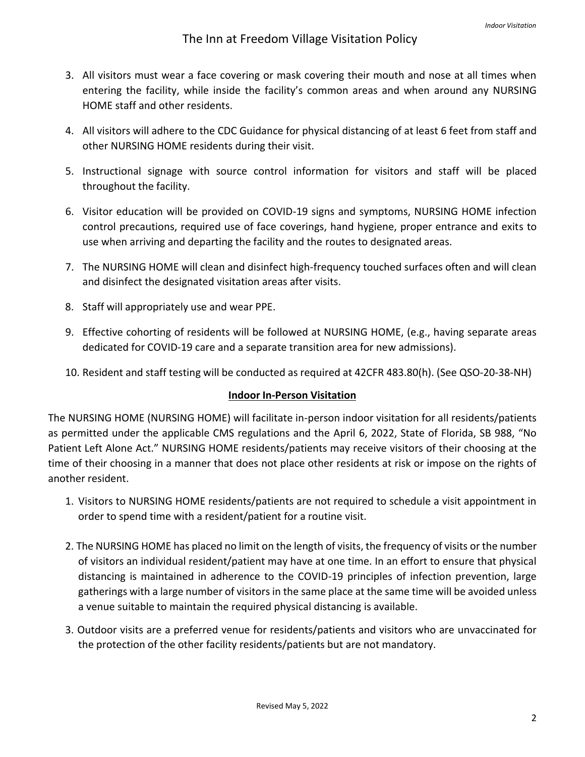- 3. All visitors must wear a face covering or mask covering their mouth and nose at all times when entering the facility, while inside the facility's common areas and when around any NURSING HOME staff and other residents.
- 4. All visitors will adhere to the CDC Guidance for physical distancing of at least 6 feet from staff and other NURSING HOME residents during their visit.
- 5. Instructional signage with source control information for visitors and staff will be placed throughout the facility.
- 6. Visitor education will be provided on COVID-19 signs and symptoms, NURSING HOME infection control precautions, required use of face coverings, hand hygiene, proper entrance and exits to use when arriving and departing the facility and the routes to designated areas.
- 7. The NURSING HOME will clean and disinfect high-frequency touched surfaces often and will clean and disinfect the designated visitation areas after visits.
- 8. Staff will appropriately use and wear PPE.
- 9. Effective cohorting of residents will be followed at NURSING HOME, (e.g., having separate areas dedicated for COVID-19 care and a separate transition area for new admissions).
- 10. Resident and staff testing will be conducted as required at 42CFR 483.80(h). (See QSO-20-38-NH)

## **Indoor In-Person Visitation**

The NURSING HOME (NURSING HOME) will facilitate in-person indoor visitation for all residents/patients as permitted under the applicable CMS regulations and the April 6, 2022, State of Florida, SB 988, "No Patient Left Alone Act." NURSING HOME residents/patients may receive visitors of their choosing at the time of their choosing in a manner that does not place other residents at risk or impose on the rights of another resident.

- 1. Visitors to NURSING HOME residents/patients are not required to schedule a visit appointment in order to spend time with a resident/patient for a routine visit.
- 2. The NURSING HOME has placed no limit on the length of visits, the frequency of visits or the number of visitors an individual resident/patient may have at one time. In an effort to ensure that physical distancing is maintained in adherence to the COVID-19 principles of infection prevention, large gatherings with a large number of visitors in the same place at the same time will be avoided unless a venue suitable to maintain the required physical distancing is available.
- 3. Outdoor visits are a preferred venue for residents/patients and visitors who are unvaccinated for the protection of the other facility residents/patients but are not mandatory.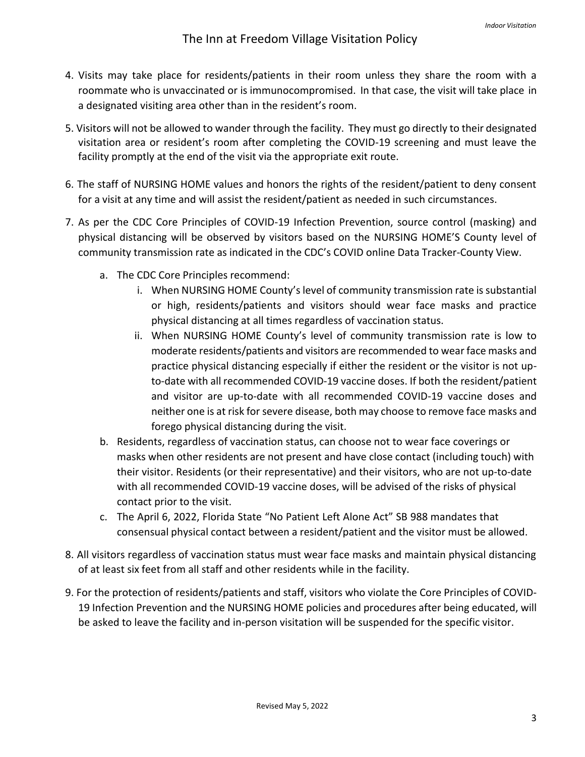- 4. Visits may take place for residents/patients in their room unless they share the room with a roommate who is unvaccinated or is immunocompromised. In that case, the visit will take place in a designated visiting area other than in the resident's room.
- 5. Visitors will not be allowed to wander through the facility. They must go directly to their designated visitation area or resident's room after completing the COVID-19 screening and must leave the facility promptly at the end of the visit via the appropriate exit route.
- 6. The staff of NURSING HOME values and honors the rights of the resident/patient to deny consent for a visit at any time and will assist the resident/patient as needed in such circumstances.
- 7. As per the CDC Core Principles of COVID-19 Infection Prevention, source control (masking) and physical distancing will be observed by visitors based on the NURSING HOME'S County level of community transmission rate as indicated in the CDC's COVID online Data Tracker-County View.
	- a. The CDC Core Principles recommend:
		- i. When NURSING HOME County's level of community transmission rate issubstantial or high, residents/patients and visitors should wear face masks and practice physical distancing at all times regardless of vaccination status.
		- ii. When NURSING HOME County's level of community transmission rate is low to moderate residents/patients and visitors are recommended to wear face masks and practice physical distancing especially if either the resident or the visitor is not upto-date with all recommended COVID-19 vaccine doses. If both the resident/patient and visitor are up-to-date with all recommended COVID-19 vaccine doses and neither one is at risk for severe disease, both may choose to remove face masks and forego physical distancing during the visit.
	- b. Residents, regardless of vaccination status, can choose not to wear face coverings or masks when other residents are not present and have close contact (including touch) with their visitor. Residents (or their representative) and their visitors, who are not up-to-date with all recommended COVID-19 vaccine doses, will be advised of the risks of physical contact prior to the visit.
	- c. The April 6, 2022, Florida State "No Patient Left Alone Act" SB 988 mandates that consensual physical contact between a resident/patient and the visitor must be allowed.
- 8. All visitors regardless of vaccination status must wear face masks and maintain physical distancing of at least six feet from all staff and other residents while in the facility.
- 9. For the protection of residents/patients and staff, visitors who violate the Core Principles of COVID-19 Infection Prevention and the NURSING HOME policies and procedures after being educated, will be asked to leave the facility and in-person visitation will be suspended for the specific visitor.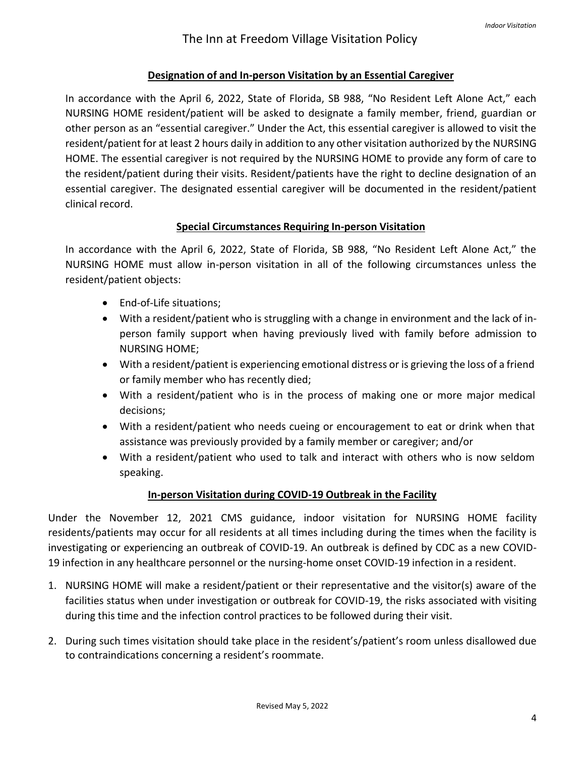### **Designation of and In-person Visitation by an Essential Caregiver**

In accordance with the April 6, 2022, State of Florida, SB 988, "No Resident Left Alone Act," each NURSING HOME resident/patient will be asked to designate a family member, friend, guardian or other person as an "essential caregiver." Under the Act, this essential caregiver is allowed to visit the resident/patient for at least 2 hours daily in addition to any other visitation authorized by the NURSING HOME. The essential caregiver is not required by the NURSING HOME to provide any form of care to the resident/patient during their visits. Resident/patients have the right to decline designation of an essential caregiver. The designated essential caregiver will be documented in the resident/patient clinical record.

#### **Special Circumstances Requiring In-person Visitation**

In accordance with the April 6, 2022, State of Florida, SB 988, "No Resident Left Alone Act," the NURSING HOME must allow in-person visitation in all of the following circumstances unless the resident/patient objects:

- End-of-Life situations;
- With a resident/patient who is struggling with a change in environment and the lack of inperson family support when having previously lived with family before admission to NURSING HOME;
- With a resident/patient is experiencing emotional distress or is grieving the loss of a friend or family member who has recently died;
- With a resident/patient who is in the process of making one or more major medical decisions;
- With a resident/patient who needs cueing or encouragement to eat or drink when that assistance was previously provided by a family member or caregiver; and/or
- With a resident/patient who used to talk and interact with others who is now seldom speaking.

#### **In-person Visitation during COVID-19 Outbreak in the Facility**

Under the November 12, 2021 CMS guidance, indoor visitation for NURSING HOME facility residents/patients may occur for all residents at all times including during the times when the facility is investigating or experiencing an outbreak of COVID-19. An outbreak is defined by CDC as a new COVID-19 infection in any healthcare personnel or the nursing-home onset COVID-19 infection in a resident.

- 1. NURSING HOME will make a resident/patient or their representative and the visitor(s) aware of the facilities status when under investigation or outbreak for COVID-19, the risks associated with visiting during this time and the infection control practices to be followed during their visit.
- 2. During such times visitation should take place in the resident's/patient's room unless disallowed due to contraindications concerning a resident's roommate.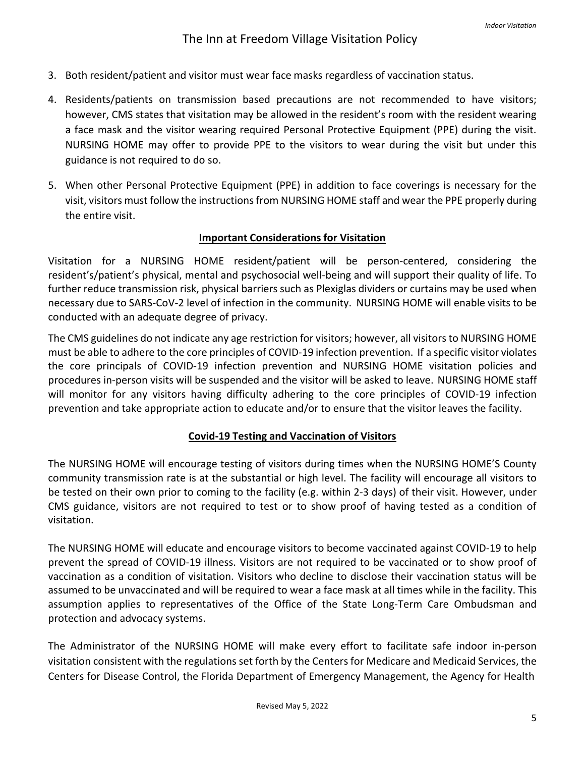- 3. Both resident/patient and visitor must wear face masks regardless of vaccination status.
- 4. Residents/patients on transmission based precautions are not recommended to have visitors; however, CMS states that visitation may be allowed in the resident's room with the resident wearing a face mask and the visitor wearing required Personal Protective Equipment (PPE) during the visit. NURSING HOME may offer to provide PPE to the visitors to wear during the visit but under this guidance is not required to do so.
- 5. When other Personal Protective Equipment (PPE) in addition to face coverings is necessary for the visit, visitors must follow the instructions from NURSING HOME staff and wear the PPE properly during the entire visit.

#### **Important Considerations for Visitation**

Visitation for a NURSING HOME resident/patient will be person-centered, considering the resident's/patient's physical, mental and psychosocial well-being and will support their quality of life. To further reduce transmission risk, physical barriers such as Plexiglas dividers or curtains may be used when necessary due to SARS-CoV-2 level of infection in the community. NURSING HOME will enable visits to be conducted with an adequate degree of privacy.

The CMS guidelines do not indicate any age restriction for visitors; however, all visitorsto NURSING HOME must be able to adhere to the core principles of COVID-19 infection prevention. If a specific visitor violates the core principals of COVID-19 infection prevention and NURSING HOME visitation policies and procedures in-person visits will be suspended and the visitor will be asked to leave. NURSING HOME staff will monitor for any visitors having difficulty adhering to the core principles of COVID-19 infection prevention and take appropriate action to educate and/or to ensure that the visitor leaves the facility.

#### **Covid-19 Testing and Vaccination of Visitors**

The NURSING HOME will encourage testing of visitors during times when the NURSING HOME'S County community transmission rate is at the substantial or high level. The facility will encourage all visitors to be tested on their own prior to coming to the facility (e.g. within 2-3 days) of their visit. However, under CMS guidance, visitors are not required to test or to show proof of having tested as a condition of visitation.

The NURSING HOME will educate and encourage visitors to become vaccinated against COVID-19 to help prevent the spread of COVID-19 illness. Visitors are not required to be vaccinated or to show proof of vaccination as a condition of visitation. Visitors who decline to disclose their vaccination status will be assumed to be unvaccinated and will be required to wear a face mask at all times while in the facility. This assumption applies to representatives of the Office of the State Long-Term Care Ombudsman and protection and advocacy systems.

The Administrator of the NURSING HOME will make every effort to facilitate safe indoor in-person visitation consistent with the regulations set forth by the Centers for Medicare and Medicaid Services, the Centers for Disease Control, the Florida Department of Emergency Management, the Agency for Health